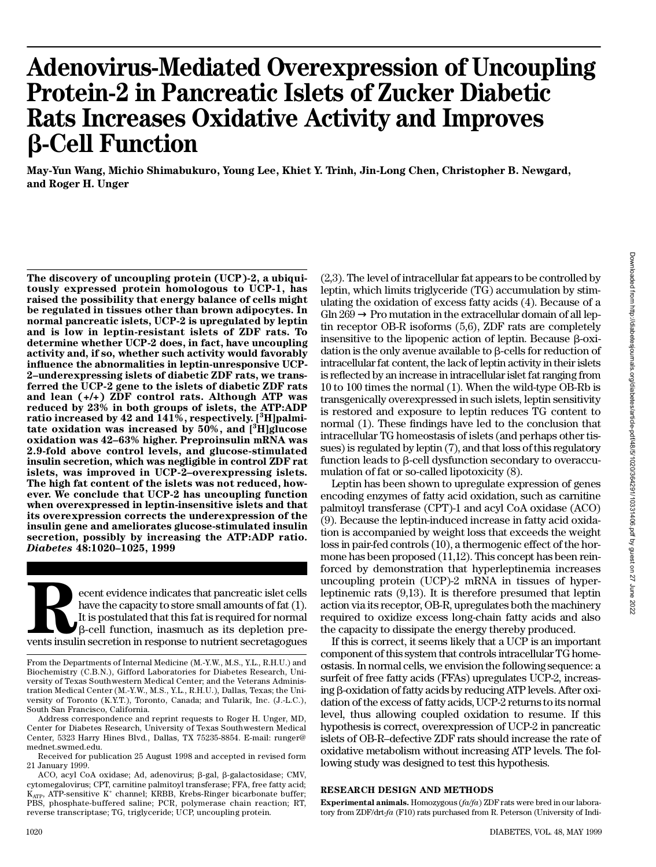# **Adenovirus-Mediated Overexpression of Uncoupling Protein-2 in Pancreatic Islets of Zucker Diabetic Rats Increases Oxidative Activity and Improves**  b**-Cell Function**

**M a y - Yun Wang, Michio Shimabukuro, Young Lee, Khiet Y. Trinh, Jin-Long Chen, Christopher B. Newgard, and Roger H. Unger**

**The discovery of uncoupling protein (UCP)-2, a ubiquitously expressed protein homologous to UCP-1, has raised the possibility that energy balance of cells might be regulated in tissues other than brown adipocytes. In normal pancreatic islets, UCP-2 is upregulated by leptin and is low in leptin-resistant islets of ZDF rats. To determine whether UCP-2 does, in fact, have uncoupling activity and, if so, whether such activity would favorably** influence the abnormalities in leptin-unresponsive UCP-**2–underexpressing islets of diabetic ZDF rats, we transferred the UCP-2 gene to the islets of diabetic ZDF rats and lean (+/+) ZDF control rats. Although ATP was** reduced by 23% in both groups of islets, the ATP:ADP ratio increased by 42 and 141%, respectively. [<sup>3</sup>H] palmi**tate oxidation was increased by 50%, and [<sup>3</sup>H] glucose oxidation was 42–63% higher. Preproinsulin mRNA was 2.9-fold above control levels, and glucose-stimulated insulin secretion, which was negligible in control ZDF rat islets, was improved in UCP-2–overexpressing islets. The high fat content of the islets was not reduced, how**ever. We conclude that UCP-2 has uncoupling function **when overexpressed in leptin-insensitive islets and that its overexpression corrects the underexpression of the insulin gene and ameliorates glucose-stimulated insulin secretion, possibly by increasing the ATP:ADP ratio.** *D i a b e t e s* **48:1020–1025, 1999**

Expected that pancreatic islet cells<br>
have the capacity to store small amounts of fat (1).<br>
It is postulated that this fat is required for normal<br>  $\beta$ -cell function, inasmuch as its depletion pre-<br>
vents insulin secretion ecent evidence indicates that pancreatic islet cells have the capacity to store small amounts of fat (1). It is postulated that this fat is required for normal b-cell function, inasmuch as its depletion pre-

Address correspondence and reprint requests to Roger H. Unger, MD, Center for Diabetes Research, University of Texas Southwestern Medical Center, 5323 Harry Hines Blvd., Dallas, TX 75235-8854. E-mail: runger@ mednet.swmed.edu.

Received for publication 25 August 1998 and accepted in revised form 21 January 1999.

ACO, acyl CoA oxidase; Ad, adenovirus; β-gal, β-galactosidase; CMV, cytomegalovirus; CPT, carnitine palmitoyl transferase; FFA, free fatty acid; K<sub>ATP</sub>, ATP-sensitive K<sup>+</sup> channel; KRBB, Krebs-Ringer bicarbonate buffer; PBS, phosphate-buffered saline; PCR, polymerase chain reaction; RT, reverse transcriptase; TG, triglyceride; UCP, uncoupling protein.

(2,3). The level of intracellular fat appears to be controlled by leptin, which limits triglyceride (TG) accumulation by stimulating the oxidation of excess fatty acids (4). Because of a Gln 269 Pro mutation in the extracellular domain of all leptin receptor OB-R isoforms (5,6), ZDF rats are completely insensitive to the lipopenic action of leptin. Because  $\beta$ -oxidation is the only avenue available to  $\beta$ -cells for reduction of intracellular fat content, the lack of leptin activity in their islets is reflected by an increase in intracellular islet fat ranging from 10 to 100 times the normal (1). When the wild-type OB-Rb is transgenically overexpressed in such islets, leptin sensitivity is restored and exposure to leptin reduces TG content to normal (1). These findings have led to the conclusion that intracellular TG homeostasis of islets (and perhaps other tissues) is regulated by leptin (7), and that loss of this regulatory function leads to  $\beta$ -cell dysfunction secondary to overaccumulation of fat or so-called lipotoxicity (8).

Leptin has been shown to upregulate expression of genes encoding enzymes of fatty acid oxidation, such as carnitine palmitoyl transferase (CPT)-1 and acyl CoA oxidase (ACO) (9). Because the leptin-induced increase in fatty acid oxidation is accompanied by weight loss that exceeds the weight loss in pair-fed controls (10), a thermogenic effect of the hormone has been proposed (11,12). This concept has been reinforced by demonstration that hyperleptinemia increases uncoupling protein (UCP)-2 mRNA in tissues of hyperleptinemic rats (9,13). It is therefore presumed that leptin action via its receptor, OB-R, upregulates both the machinery required to oxidize excess long-chain fatty acids and also the capacity to dissipate the energy thereby produced.

If this is correct, it seems likely that a UCP is an important component of this system that controls intracellular TG homeostasis. In normal cells, we envision the following sequence: a surfeit of free fatty acids (FFAs) upregulates UCP-2, increasing b-oxidation of fatty acids by reducing ATP levels. After oxidation of the excess of fatty acids, UCP-2 returns to its normal level, thus allowing coupled oxidation to resume. If this hypothesis is correct, overexpression of UCP-2 in pancreatic islets of OB-R–defective ZDF rats should increase the rate of oxidative metabolism without increasing ATP levels. The following study was designed to test this hypothesis.

#### **RESEARCH DESIGN AND METHODS**

**Experimental animals.** Homozygous (*fa/fa*) ZDF rats were bred in our laboratory from ZDF/drt-*fa* (F10) rats purchased from R. Peterson (University of Indi-

From the Departments of Internal Medicine (M.-Y. W., M.S., Y.L., R.H.U.) and Biochemistry (C.B.N.), Gifford Laboratories for Diabetes Research, University of Texas Southwestern Medical Center; and the Veterans Administration Medical Center (M.-Y. W., M.S., Y.L., R.H.U.), Dallas, Texas; the University of Toronto (K.Y.T.), Toronto, Canada; and Tularik, Inc. (J.-L.C.), South San Francisco, California.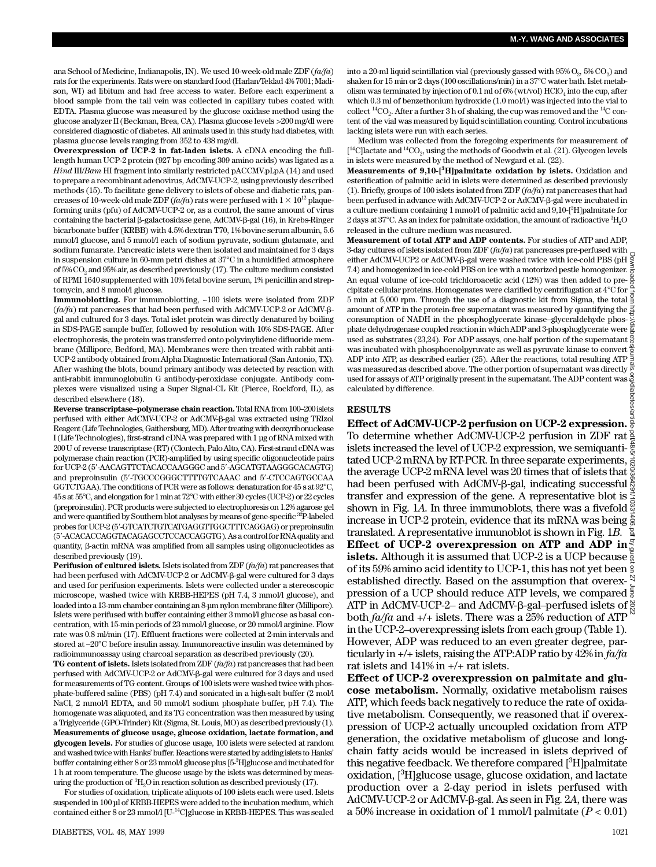ana School of Medicine, Indianapolis, IN). We used 10-week-old male ZDF ( $fa/fa$ ) rats for the experiments. Rats were on standard food (Harlan/Teklad 4% 7001; Madison, WI) ad libitum and had free access to water. Before each experiment a blood sample from the tail vein was collected in capillary tubes coated with E D TA. Plasma glucose was measured by the glucose oxidase method using the glucose analyzer II (Beckman, Brea, CA). Plasma glucose levels >200 mg/dl were considered diagnostic of diabetes. All animals used in this study had diabetes, with plasma glucose levels ranging from 352 to 438 mg/dl.

**Overexpression of UCP-2 in fat-laden islets.** A cDNA encoding the fulllength human UCP-2 protein (927 bp encoding 309 amino acids) was ligated as a *Hind* III/*Bam* HI fragment into similarly restricted pACCMV.pLpA (14) and used to prepare a recombinant adenovirus, AdCMV-UCP-2, using previously described methods (15). To facilitate gene delivery to islets of obese and diabetic rats, pancreases of 10-week-old male ZDF ( $fa/fa$ ) rats were perfused with  $1 \times 10^{12}$  plaqueforming units (pfu) of AdCMV-UCP-2 or, as a control, the same amount of virus containing the bacterial  $\beta$ -galactosidase gene, AdCMV- $\beta$ -gal (16), in Krebs-Ringer bicarbonate buffer (KRBB) with 4.5% dextran T70, 1% bovine serum albumin, 5.6 mmol/l glucose, and 5 mmol/l each of sodium pyruvate, sodium glutamate, and sodium fumarate. Pancreatic islets were then isolated and maintained for 3 days in suspension culture in 60-mm petri dishes at 37°C in a humidified atmosphere of  $5\% \mathrm{CO}_2$  and  $95\%$  air, as described previously (17). The culture medium consisted of RPMI 1640 supplemented with 10% fetal bovine serum, 1% penicillin and streptomycin, and 8 mmol/l glucose.

**Immunoblotting.** For immunoblotting, ~100 islets were isolated from ZDF  $(fa/fa)$  rat pancreases that had been perfused with AdCMV-UCP-2 or AdCMV- $\beta$ gal and cultured for 3 days. Total islet protein was directly denatured by boiling in SDS-PAGE sample buffer, followed by resolution with 10% SDS-PAGE. After electrophoresis, the protein was transferred onto polyvinylidene difluoride membrane (Millipore, Bedford, MA). Membranes were then treated with rabbit anti-UCP-2 antibody obtained from Alpha Diagnostic International (San Antonio, TX). After washing the blots, bound primary antibody was detected by reaction with anti-rabbit immunoglobulin G antibody-peroxidase conjugate. Antibody complexes were visualized using a Super Signal-CL Kit (Pierce, Rockford, IL), as described elsewhere (18).

**Reverse transcriptase–polymerase chain reaction.**Total RNA from 100–200 islets perfused with either AdCMV-UCP-2 or AdCMV-b-gal was extracted using TRIzol Reagent (Life Technologies, Gaithersburg, MD). After treating with deoxyribonuclease I (Life Technologies), first-strand cDNA was prepared with 1 µg of RNA mixed with 200 U of reverse transcriptase (RT) (Clontech, Palo Alto, CA). First-strand cDNA was polymerase chain reaction (PCR)-amplified by using specific oligonucleotide pairs for UCP-2 (5'-AACAGTTCTACACCAAGGGC and 5'-AGCATGTAAGGGCACAGTG) and preproinsulin (5'-TGCCCGGGCTTTTGTCAAAC and 5'-CTCCAGTGCCAA GGTCTGAA). The conditions of PCR were as follows: denaturation for 45 s at 92°C, 45 s at 55°C, and elongation for 1 min at 72°C with either 30 cycles (UCP-2) or 22 cycles (preproinsulin). PCR products were subjected to electrophoresis on 1.2% agarose gel and were quantified by Southern blot analyses by means of gene-specific <sup>32</sup>P-labeled probes for UCP-2 (5'-GTCATCTGTCATGAGGTTGGCTTTCAGGAG) or preproinsulin (5'-ACACACCAGGTACAGAGCCTCCACCAGGTG). As a control for RNA quality and quantity,  $\beta$ -actin mRNA was amplified from all samples using oligonucleotides as described previously (19).

**Perifusion of cultured islets.** Islets isolated from ZDF ( $fa/fa$ ) rat pancreases that had been perfused with AdCMV-UCP-2 or AdCMV-b-gal were cultured for 3 days and used for perifusion experiments. Islets were collected under a stereoscopic microscope, washed twice with KRBB-HEPES (pH 7.4, 3 mmol/l glucose), and loaded into a 13-mm chamber containing an 8-µm nylon membrane filter (Millipore). Islets were perifused with buffer containing either 3 mmol/l glucose as basal concentration, with 15-min periods of 23 mmol/l glucose, or 20 mmol/l arginine. Flow rate was 0.8 ml/min (17). Effluent fractions were collected at 2-min intervals and stored at –20°C before insulin assay. Immunoreactive insulin was determined by radioimmunoassay using charcoal separation as described previously (20).

TG content of islets. Islets isolated from ZDF ( $fa/fa$ ) rat pancreases that had been perfused with AdCMV-UCP-2 or AdCMV-b-gal were cultured for 3 days and used for measurements of TG content. Groups of 100 islets were washed twice with phosphate-buffered saline (PBS) (pH 7.4) and sonicated in a high-salt buffer (2 mol/l NaCl, 2 mmol/l EDTA, and 50 mmol/l sodium phosphate buffer, pH 7.4). The homogenate was aliquoted, and its TG concentration was then measured by using a Triglyceride (GPO-Trinder) Kit (Sigma, St. Louis, MO) as described previously (1). **Measurements of glucose usage, glucose oxidation, lactate formation, and glycogen levels.** For studies of glucose usage, 100 islets were selected at random and washed twice with Hanks' buffer. Reactions were started by adding islets to Hanks' buffer containing either 8 or 23 mmol/l glucose plus [5<sup>-3</sup>H]glucose and incubated for 1 h at room temperature. The glucose usage by the islets was determined by measuring the production of  ${}^{3}H_{2}O$  in reaction solution as described previously (17).

For studies of oxidation, triplicate aliquots of 100 islets each were used. Islets suspended in 100 µl of KRBB-HEPES were added to the incubation medium, which contained either  $8$  or  $23$  mmol/l [U-<sup>14</sup>C]glucose in KRBB-HEPES. This was sealed

into a 20-ml liquid scintillation vial (previously gassed with  $95\%$   $\mathrm{O}_2$ ,  $5\%$   $\mathrm{CO}_2$ ) and shaken for 15 min or 2 days (100 oscillations/min) in a 37°C water bath. Islet metabolism was terminated by injection of  $0.1 \,\mathrm{ml}$  of  $6\%$  (wt/vol)  $\mathrm{HClO}_4$  into the cup, after which 0.3 ml of benzethonium hydroxide (1.0 mol/l) was injected into the vial to collect  ${}^{14}\mathrm{CO}_2$ . After a further  $3$  h of shaking, the cup was removed and the  ${}^{14}\mathrm{C}$  content of the vial was measured by liquid scintillation counting. Control incubations lacking islets were run with each series.

Medium was collected from the foregoing experiments for measurement of  $[$ <sup>14</sup>C]lactate and <sup>14</sup>CO<sub>2</sub>, using the methods of Goodwin et al. (21). Glycogen levels in islets were measured by the method of Newgard et al. (22).

**Measurements of 9,10-[<sup>3</sup>H]palmitate oxidation by islets.** Oxidation and esterification of palmitic acid in islets were determined as described previously (1). Briefly, groups of 100 islets isolated from  $ZDF(f\alpha/f\alpha)$  rat pancreases that had been perfused in advance with AdCMV-UCP-2 or AdCMV-β-gal were incubated in a culture medium containing 1 mmol/l of palmitic acid and 9,10-[<sup>3</sup>H]palmitate for 2 days at  $37^{\circ}$ C. As an index for palmitate oxidation, the amount of radioactive  $^{3}$ H<sub>2</sub>O released in the culture medium was measured.

**Measurement of total ATP and ADP contents.** For studies of ATP and ADP, 3-day cultures of islets isolated from ZDF ( $fa/fa$ ) rat pancreases pre-perfused with either AdCMV-UCP2 or AdCMV-b-gal were washed twice with ice-cold PBS (pH 7.4) and homogenized in ice-cold PBS on ice with a motorized pestle homogenizer. An equal volume of ice-cold trichloroacetic acid (12%) was then added to pre- $\frac{5}{6}$ cipitate cellular proteins. Homogenates were clarified by centrifugation at 4°C for  $\frac{1}{5}$  min at 5,000 rpm. Through the use of a diagnostic kit from Sigma, the total  $\frac{3}{5}$ amount of ATP in the protein-free supernatant was measured by quantifying the  $\frac{3}{2}$ consumption of NADH in the phosphoglycerate kinase–glyceraldehyde phosphate dehydrogenase coupled reaction in which ADP and 3-phosphoglycerate were used as substrates (23,24). For ADP assays, one-half portion of the supernatant  $\frac{8}{9}$ was incubated with phosphoenolpyruvate as well as pyruvate kinase to convert  $\frac{3}{2}$ ADP into ATP, as described earlier (25). After the reactions, total resulting ATP was measured as described above. The other portion of supernatant was directly used for assays of ATP originally present in the supernatant. The ADP content was diabetes calculated by difference.

#### **R E S U LT S**

**Effect of AdCMV-UCP-2 perfusion on UCP-2 expression.** To determine whether AdCMV-UCP-2 perfusion in ZDF rat islets increased the level of UCP-2 expression, we semiquantitated UCP-2 mRNA by RT-PCR. In three separate experiments,  $\frac{3}{62}$ the average UCP-2 mRNA level was 20 times that of islets that  $\frac{\mathbb{S}}{\mathbb{S}}$ had been perfused with AdCMV-β-gal, indicating successful \$ transfer and expression of the gene. A representative blot is  $\frac{1}{2}$ shown in Fig. 1*A*. In three immunoblots, there was a fivefold  $\frac{8}{9}$ increase in UCP-2 protein, evidence that its mRNA was being  $\frac{2}{9}$ translated. A representative immunoblot is shown in Fig. 1*B*. **Effect of UCP-2 overexpression on ATP and ADP in** $\frac{8}{6}$ **islets.** Although it is assumed that UCP-2 is a UCP because  $\frac{5}{8}$ of its 59% amino acid identity to UCP-1, this has not yet been established directly. Based on the assumption that overex- $\frac{8}{5}$ pression of a UCP should reduce ATP levels, we compared  $\frac{2}{3}$ ATP in AdCMV-UCP-2– and AdCMV- $\beta$ -gal–perfused islets of  $\frac{8}{6}$ both  $fa/fa$  and  $+/-$  islets. There was a 25% reduction of ATP in the UCP-2–overexpressing islets from each group (Table 1). However, ADP was reduced to an even greater degree, particularly in  $\pm/\pm$  islets, raising the ATP:ADP ratio by  $42\%$  in  $fa/fa$ rat islets and 141% in +/+ rat islets. Downloaded from http://diabetesjournals.org/diabetes/article-pdf/48/5/1020/364291/10331406.pdf by guest on 27 June 2022

Effect of UCP-2 overexpression on palmitate and glu**cose metabolism.** Normally, oxidative metabolism raises ATP, which feeds back negatively to reduce the rate of oxidative metabolism. Consequently, we reasoned that if overexpression of UCP-2 actually uncoupled oxidation from ATP generation, the oxidative metabolism of glucose and longchain fatty acids would be increased in islets deprived of this negative feedback. We therefore compared  $[^3H]$  palmitate oxidation, [<sup>3</sup>H]glucose usage, glucose oxidation, and lactate production over a 2-day period in islets perfused with AdCMV-UCP-2 or AdCMV-β-gal. As seen in Fig. 2*A*, there was a 50% increase in oxidation of 1 mmol/l palmitate (*P* < 0.01)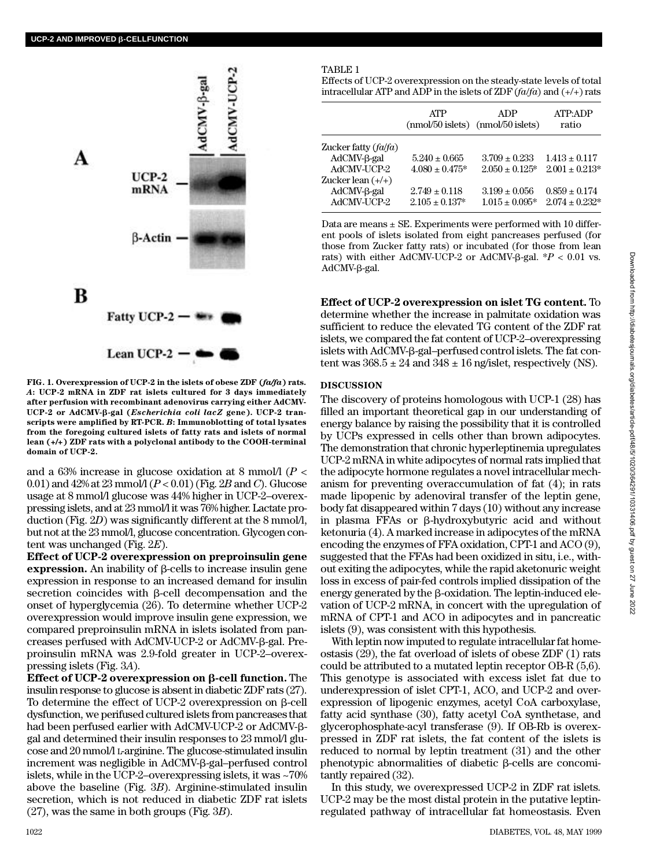

FIG. 1. Overexpression of UCP-2 in the islets of obese ZDF ( $fa/fa$ ) rats. *A***: UCP-2 mRNA in ZDF rat islets cultured for 3 days immediately after perfusion with recombinant adenovirus carrying either AdCMV-UCP-2 or AdCMV-**b**-gal (***Escherichia coli lacZ* **gene). UCP-2 transcripts were amplified by RT-PCR.** *B***: Immunoblotting of total lysates from the foregoing cultured islets of fatty rats and islets of normal lean (+/+) ZDF rats with a polyclonal antibody to the COOH-terminal domain of UCP-2.**

and a 63% increase in glucose oxidation at 8 mmol/l (*P* < 0.01) and 42% at 23 mmol/l (*P* < 0.01) (Fig. 2*B* and *C*). Glucose usage at 8 mmol/l glucose was 44% higher in UCP-2–overexpressing islets, and at 23 mmol/l it was 76% higher. Lactate production (Fig. 2*D*) was significantly different at the 8 mmol/l, but not at the 23 mmol/l, glucose concentration. Glycogen content was unchanged (Fig. 2*E*) .

**E ffect of UCP-2 overexpression on preproinsulin gene expression.** An inability of  $\beta$ -cells to increase insulin gene expression in response to an increased demand for insulin secretion coincides with  $\beta$ -cell decompensation and the onset of hyperglycemia (26). To determine whether UCP-2 overexpression would improve insulin gene expression, we compared preproinsulin mRNA in islets isolated from pancreases perfused with AdCMV-UCP-2 or AdCMV-b-gal. Preproinsulin mRNA was 2.9-fold greater in UCP-2–overexpressing islets (Fig. 3*A*) .

**Effect of UCP-2 overexpression on β-cell function.** The insulin response to glucose is absent in diabetic ZDF rats (27). To determine the effect of UCP-2 overexpression on  $\beta$ -cell dysfunction, we perifused cultured islets from pancreases that had been perfused earlier with AdCMV-UCP-2 or AdCMV-bgal and determined their insulin responses to 23 mmol/l glucose and 20 mmol/l L-arginine. The glucose-stimulated insulin increment was negligible in AdCMV-ß-gal-perfused control islets, while in the UCP-2–overexpressing islets, it was ~70% above the baseline (Fig. 3*B*). Arginine-stimulated insulin secretion, which is not reduced in diabetic ZDF rat islets (27), was the same in both groups (Fig. 3*B*) .

#### TABLE 1

Effects of UCP-2 overexpression on the steady-state levels of total intracellular ATP and ADP in the islets of  $ZDF(fa/fa)$  and  $(+/+)$  rats

|                               | <b>ATP</b>                              | ADP<br>$(mmol/50 \text{ islets})$ $(mmol/50 \text{ islets})$ | ATP:ADP<br>ratio                         |
|-------------------------------|-----------------------------------------|--------------------------------------------------------------|------------------------------------------|
| Zucker fatty (fa/fa)          |                                         |                                                              |                                          |
| $AdCMV-\beta-gal$             | $5.240 \pm 0.665$                       | $3.709 \pm 0.233$                                            | $1.413 \pm 0.117$                        |
| AdCMV-UCP-2                   | $4.080 \pm 0.475*$                      | $2.050 \pm 0.125^*$                                          | $2.001 \pm 0.213*$                       |
| Zucker lean (+/+)             |                                         |                                                              |                                          |
| $AdCMV-6$ -gal<br>AdCMV-UCP-2 | $2.749 \pm 0.118$<br>$2.105 \pm 0.137*$ | $3.199 \pm 0.056$<br>$1.015 \pm 0.095*$                      | $0.859 \pm 0.174$<br>$2.074 \pm 0.232$ * |
|                               |                                         |                                                              |                                          |

Data are means  $\pm$  SE. Experiments were performed with 10 different pools of islets isolated from eight pancreases perfused (for those from Zucker fatty rats) or incubated (for those from lean rats) with either AdCMV-UCP-2 or AdCMV- $\beta$ -gal. \* $P < 0.01$  vs.  $AdCMV-<sub>\beta</sub>-gal.$ 

**E ffect of UCP-2 overexpression on islet TG content.** To determine whether the increase in palmitate oxidation was sufficient to reduce the elevated TG content of the ZDF rat islets, we compared the fat content of UCP-2–overexpressing islets with AdCMV-β-gal–perfused control islets. The fat content was  $368.5 \pm 24$  and  $348 \pm 16$  ng/islet, respectively (NS).

## **DISCUSSION**

The discovery of proteins homologous with UCP-1 (28) has filled an important theoretical gap in our understanding of energy balance by raising the possibility that it is controlled by UCPs expressed in cells other than brown adipocytes. The demonstration that chronic hyperleptinemia upregulates UCP-2 mRNA in white adipocytes of normal rats implied that the adipocyte hormone regulates a novel intracellular mechanism for preventing overaccumulation of fat (4); in rats made lipopenic by adenoviral transfer of the leptin gene, body fat disappeared within 7 days (10) without any increase in plasma FFAs or b-hydroxybutyric acid and without ketonuria (4). A marked increase in adipocytes of the mRNA encoding the enzymes of FFA oxidation, CPT-1 and ACO (9), suggested that the FFAs had been oxidized in situ, i.e., without exiting the adipocytes, while the rapid aketonuric weight loss in excess of pair-fed controls implied dissipation of the energy generated by the  $\beta$ -oxidation. The leptin-induced elevation of UCP-2 mRNA, in concert with the upregulation of mRNA of CPT-1 and ACO in adipocytes and in pancreatic islets (9), was consistent with this hypothesis.

With leptin now imputed to regulate intracellular fat homeostasis (29), the fat overload of islets of obese ZDF (1) rats could be attributed to a mutated leptin receptor OB-R (5,6). This genotype is associated with excess islet fat due to underexpression of islet CPT-1, ACO, and UCP-2 and overexpression of lipogenic enzymes, acetyl CoA carboxylase, fatty acid synthase (30), fatty acetyl CoA synthetase, and glycerophosphate-acyl transferase (9). If OB-Rb is overexpressed in ZDF rat islets, the fat content of the islets is reduced to normal by leptin treatment (31) and the other phenotypic abnormalities of diabetic  $\beta$ -cells are concomitantly repaired (32).

In this study, we overexpressed UCP-2 in ZDF rat islets. UCP-2 may be the most distal protein in the putative leptinregulated pathway of intracellular fat homeostasis. Even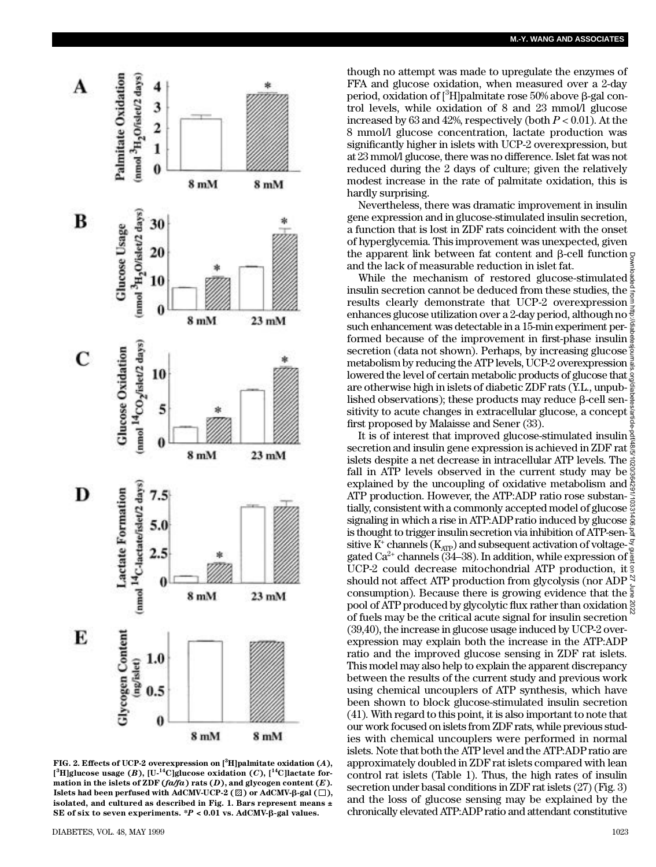

**FIG. 2. Effects of UCP-2 overexpression on [<sup>3</sup>H]palmitate oxidation (***A***) ,**  $[$ <sup>3</sup>**H**]glucose usage (*B*), [U-<sup>14</sup>C]glucose oxidation (*C*), [<sup>14</sup>C]lactate formation in the islets of ZDF  $(f \alpha /fa)$  rats  $(D)$ , and glycogen content  $(E)$ . **Islets had been perfused with AdCMV-UCP-2 (** $\mathbb{Z}$ **) or AdCMV-** $\beta$ **-gal (** $\Box$ **), isolated, and cultured as described in Fig. 1. Bars represent means ±** SE of six to seven experiments.  ${}^*P$  < 0.01 vs. AdCMV- $\beta$ -gal values.

though no attempt was made to upregulate the enzymes of FFA and glucose oxidation, when measured over a 2-day period, oxidation of  $\lceil^3H\rceil$ palmitate rose 50% above  $\beta$ -gal control levels, while oxidation of 8 and 23 mmol/l glucose increased by 63 and 42%, respectively (both  $P < 0.01$ ). At the 8 mmol/l glucose concentration, lactate production was significantly higher in islets with UCP-2 overexpression, but at 23 mmol/l glucose, there was no difference. Islet fat was not reduced during the 2 days of culture; given the relatively modest increase in the rate of palmitate oxidation, this is hardly surprising.

Nevertheless, there was dramatic improvement in insulin gene expression and in glucose-stimulated insulin secretion, a function that is lost in ZDF rats coincident with the onset of hyperglycemia. This improvement was unexpected, given the apparent link between fat content and  $\beta$ -cell function  $\sigma$ and the lack of measurable reduction in islet fat.

While the mechanism of restored glucose-stimulated  $\frac{8}{8}$ insulin secretion cannot be deduced from these studies, the  $\frac{\alpha}{5}$ results clearly demonstrate that UCP-2 overexpression  $\frac{3}{5}$ enhances glucose utilization over a 2-day period, although no such enhancement was detectable in a 15-min experiment per- $\frac{5}{8}$ formed because of the improvement in first-phase insulin  $\frac{8}{6}$ secretion (data not shown). Perhaps, by increasing glucose  $\frac{3}{2}$ metabolism by reducing the ATP levels, UCP-2 overexpression lowered the level of certain metabolic products of glucose that  $\ddot{S}$ are otherwise high in islets of diabetic ZDF rats (Y.L., unpublished observations); these products may reduce  $\beta$ -cell sen- $\frac{8}{6}$ sitivity to acute changes in extracellular glucose, a concept  $\frac{8}{3}$ first proposed by Malaisse and Sener (33). Downloaded from http://diabetesjournals.org/diabetes/article-pdf/48/5/1020/364291/10331406.pdf by guest on 27 June 2022

It is of interest that improved glucose-stimulated insulin secretion and insulin gene expression is achieved in ZDF rat  $\frac{3}{2}$ islets despite a net decrease in intracellular ATP levels. The fall in ATP levels observed in the current study may be  $\frac{5}{8}$ explained by the uncoupling of oxidative metabolism and  $\frac{8}{60}$ ATP production. However, the ATP:ADP ratio rose substantially, consistent with a commonly accepted model of glucose signaling in which a rise in ATP:ADP ratio induced by glucose  $\frac{1}{6}$ is thought to trigger insulin secretion via inhibition of ATP-sen- $\frac{1}{2}$ sitive  $\mathrm{K}^{\!+}$  channels  $(\mathrm{K}_{\mathrm{ATP}})$  and subsequent activation of voltagegated Ca<sup>2+</sup> channels (34–38). In addition, while expression of  $\frac{2}{9}$ UCP-2 could decrease mitochondrial ATP production, it should not affect ATP production from glycolysis (nor ADP $\frac{8}{5}$ consumption). Because there is growing evidence that the  $\frac{5}{8}$ pool of ATP produced by glycolytic flux rather than oxidation  $\frac{8}{5}$ of fuels may be the critical acute signal for insulin secretion (39,40), the increase in glucose usage induced by UCP-2 overexpression may explain both the increase in the ATP:ADP ratio and the improved glucose sensing in ZDF rat islets. This model may also help to explain the apparent discrepancy between the results of the current study and previous work using chemical uncouplers of ATP synthesis, which have been shown to block glucose-stimulated insulin secretion (41). With regard to this point, it is also important to note that our work focused on islets from ZDF rats, while previous studies with chemical uncouplers were performed in normal islets. Note that both the ATP level and the ATP:ADP ratio are approximately doubled in ZDF rat islets compared with lean control rat islets (Table 1). Thus, the high rates of insulin secretion under basal conditions in ZDF rat islets (27) (Fig. 3) and the loss of glucose sensing may be explained by the chronically elevated ATP:ADP ratio and attendant constitutive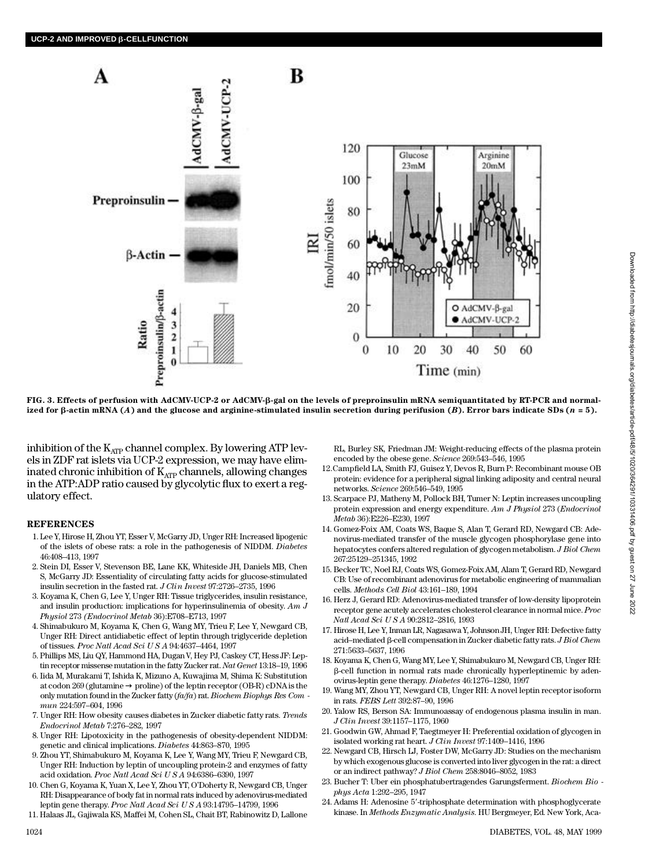

**FIG. 3. Effects of perfusion with AdCMV-UCP-2 or AdCMV-**b**-gal on the levels of preproinsulin mRNA semiquantitated by RT-PCR and normal**ized for  $\beta$ -actin mRNA (*A*) and the glucose and arginine-stimulated insulin secretion during perifusion (*B*). Error bars indicate SDs (*n* = 5).

inhibition of the  $K_{ATP}$  channel complex. By lowering ATP levels in ZDF rat islets via UCP-2 expression, we may have eliminated chronic inhibition of  $K_{ATP}$  channels, allowing changes in the ATP:ADP ratio caused by glycolytic flux to exert a regulatory effect.

## **R E F E R E N C E S**

- 1 . Lee Y, Hirose H, Zhou YT, Esser V, McGarry JD, Unger RH: Increased lipogenic of the islets of obese rats: a role in the pathogenesis of NIDDM. *Diabetes* 46:408–413, 1997
- 2 . Stein DI, Esser V, Stevenson BE, Lane KK, Whiteside JH, Daniels MB, Chen S, McGarry JD: Essentiality of circulating fatty acids for glucose-stimulated insulin secretion in the fasted rat. *J Clin Invest* 97:2726–2735, 1996
- 3 . Koyama K, Chen G, Lee Y, Unger RH: Tissue triglycerides, insulin resistance, and insulin production: implications for hyperinsulinemia of obesity. *Am J Physiol 273 (Endocrinol Metab 36)*:E708–E713, 1997
- 4 . Shimabukuro M, Koyama K, Chen G, Wang MY, Trieu F, Lee Y, Newgard CB, Unger RH: Direct antidiabetic effect of leptin through triglyceride depletion of tissues. *Proc Natl Acad Sci U S A* 94:4637–4464, 1997
- 5 . Phillips MS, Liu QY, Hammond HA, Dugan V, Hey PJ, Caskey CT, Hess JF: Leptin receptor missense mutation in the fatty Zucker rat. *Nat Genet* 13:18–19, 1996
- 6 . Iida M, Murakami T, Ishida K, Mizuno A, Kuwajima M, Shima K: Substitution at codon 269 (glutamine proline) of the leptin receptor (OB-R) cDNA is the only mutation found in the Zucker fatty (*fa/fa*) rat. *Biochem Biophys Res Com mun* 224:597–604, 1996
- 7. Unger RH: How obesity causes diabetes in Zucker diabetic fatty rats. Trends *Endocrinol Metab* 7:276–282, 1997
- 8 . Unger RH: Lipotoxicity in the pathogenesis of obesity-dependent NIDDM: genetic and clinical implications. *Diabetes* 44:863-870, 1995
- 9 . Zhou YT, Shimabukuro M, Koyama K, Lee Y, Wang MY, Trieu F, Newgard CB, Unger RH: Induction by leptin of uncoupling protein-2 and enzymes of fatty acid oxidation. *Proc Natl Acad Sci U S A* 94:6386–6390, 1997
- 1 0 . Chen G, Koyama K, Yuan X, Lee Y, Zhou YT, O'Doherty R, Newgard CB, Unger RH: Disappearance of body fat in normal rats induced by adenovirus-mediated leptin gene therapy. *Proc Natl Acad Sci U S A* 93:14795–14799, 1996
- 1 1 . Halaas JL, Gajiwala KS, Maffei M, Cohen SL, Chait BT, Rabinowitz D, Lallone

RL, Burley SK, Friedman JM: Weight-reducing effects of the plasma protein encoded by the obese gene. *Science* 269:543-546, 1995

- 12. Campfield LA, Smith FJ, Guisez Y, Devos R, Burn P: Recombinant mouse OB protein: evidence for a peripheral signal linking adiposity and central neural networks. *Science* 269:546-549, 1995
- 1 3 . Scarpace PJ, Matheny M, Pollock BH, Tumer N: Leptin increases uncoupling protein expression and energy expenditure. Am J Physiol 273 (Endocrinol *M e t a b* 36):E226–E230, 1997
- 1 4 . Gomez-Foix AM, Coats WS, Baque S, Alan T, Gerard RD, Newgard CB: Adenovirus-mediated transfer of the muscle glycogen phosphorylase gene into hepatocytes confers altered regulation of glycogen metabolism. *J Biol Chem* 267:25129–251345, 1992
- 1 5 . Becker TC, Noel RJ, Coats WS, Gomez-Foix AM, Alam T, Gerard RD, Newgard CB: Use of recombinant adenovirus for metabolic engineering of mammalian cells. *Methods Cell Biol* 43:161-189, 1994
- 16. Herz J, Gerard RD: Adenovirus-mediated transfer of low-density lipoprotein receptor gene acutely accelerates cholesterol clearance in normal mice. Proc *Natl Acad Sci U S A* 90:2812–2816, 1993
- 17. Hirose H, Lee Y, Inman LR, Nagasawa Y, Johnson JH, Unger RH: Defective fatty acid–mediated b-cell compensation in Zucker diabetic fatty rats. *J Biol Chem* 271:5633–5637, 1996
- 18. Koyama K, Chen G, Wang MY, Lee Y, Shimabukuro M, Newgard CB, Unger RH: b-cell function in normal rats made chronically hyperleptinemic by adenovirus-leptin gene therapy. *Diabetes* 46:1276-1280, 1997
- 19. Wang MY, Zhou YT, Newgard CB, Unger RH: A novel leptin receptor isoform in rats. *FEBS Lett* 392:87–90, 1996
- 20. Yalow RS, Berson SA: Immunoassay of endogenous plasma insulin in man. *J Clin Invest* 39:1157–1175, 1960
- 2 1 . Goodwin GW, Ahmad F, Taegtmeyer H: Preferential oxidation of glycogen in isolated working rat heart. *J Clin Invest* 97:1409–1416, 1996
- 22. Newgard CB, Hirsch LJ, Foster DW, McGarry JD: Studies on the mechanism by which exogenous glucose is converted into liver glycogen in the rat: a direct or an indirect pathway? *J Biol Chem* 258:8046–8052, 1983
- 2 3 . Bucher T: Uber ein phosphatubertragendes Garungsferment. *Biochem Bio phys Acta* 1:292–295, 1947
- 24. Adams H: Adenosine 5'-triphosphate determination with phosphoglycerate kinase. In *Methods Enzymatic Analysis.* HU Bergmeyer, Ed. New York, Aca-